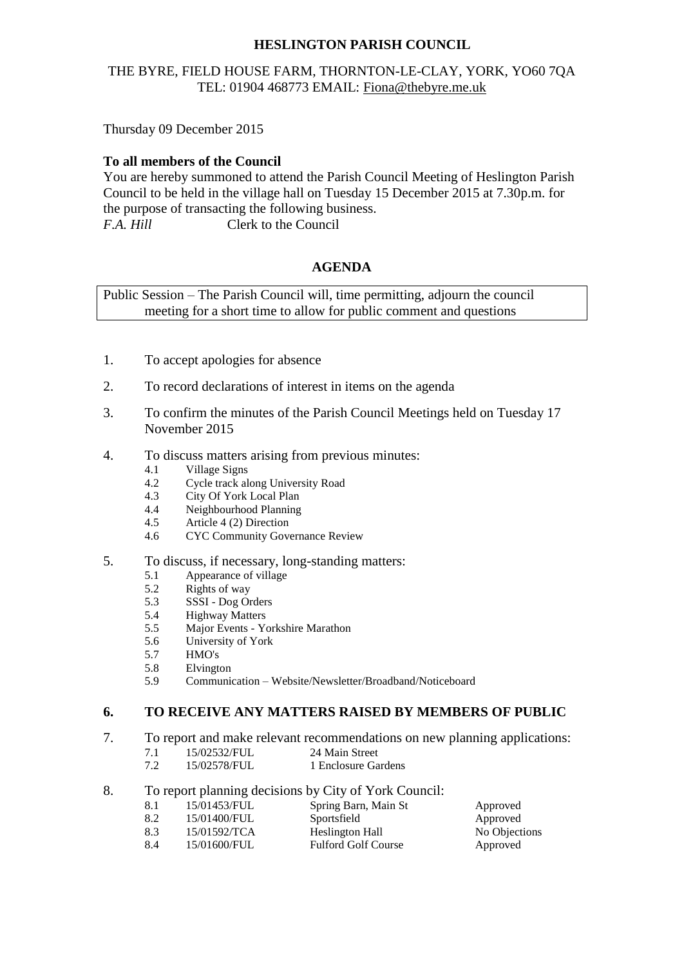# **HESLINGTON PARISH COUNCIL**

## THE BYRE, FIELD HOUSE FARM, THORNTON-LE-CLAY, YORK, YO60 7QA TEL: 01904 468773 EMAIL: [Fiona@thebyre.me.uk](mailto:Fiona@thebyre.me.uk)

Thursday 09 December 2015

### **To all members of the Council**

You are hereby summoned to attend the Parish Council Meeting of Heslington Parish Council to be held in the village hall on Tuesday 15 December 2015 at 7.30p.m. for the purpose of transacting the following business. *F.A. Hill* Clerk to the Council

### **AGENDA**

Public Session – The Parish Council will, time permitting, adjourn the council meeting for a short time to allow for public comment and questions

- 1. To accept apologies for absence
- 2. To record declarations of interest in items on the agenda
- 3. To confirm the minutes of the Parish Council Meetings held on Tuesday 17 November 2015
- 4. To discuss matters arising from previous minutes:
	- 4.1 Village Signs
	- 4.2 Cycle track along University Road
	- 4.3 City Of York Local Plan
	- 4.4 Neighbourhood Planning
	- 4.5 Article 4 (2) Direction
	- 4.6 CYC Community Governance Review
- 5. To discuss, if necessary, long-standing matters:
	- 5.1 Appearance of village
	- 5.2 Rights of way<br>5.3 SSSI Dog Or
	- 5.3 SSSI Dog Orders
	- 5.4 Highway Matters
	- 5.5 Major Events Yorkshire Marathon
	- 5.6 University of York
	- 5.7 HMO's
	- 5.8 Elvington
	- 5.9 Communication Website/Newsletter/Broadband/Noticeboard

## **6. TO RECEIVE ANY MATTERS RAISED BY MEMBERS OF PUBLIC**

- 7. To report and make relevant recommendations on new planning applications:<br>7.1 15/02532/FUL 24 Main Street
	- 7.1 15/02532/FUL<br>7.2 15/02578/FUL
	- 1 Enclosure Gardens
- 8. To report planning decisions by City of York Council:
	- 8.1 15/01453/FUL Spring Barn, Main St Approved 8.2 15/01400/FUL Sportsfield Approved
	-
	- 8.3 15/01592/TCA Heslington Hall No Objections 8.4 15/01600/FUL Fulford Golf Course Approved
- -
-